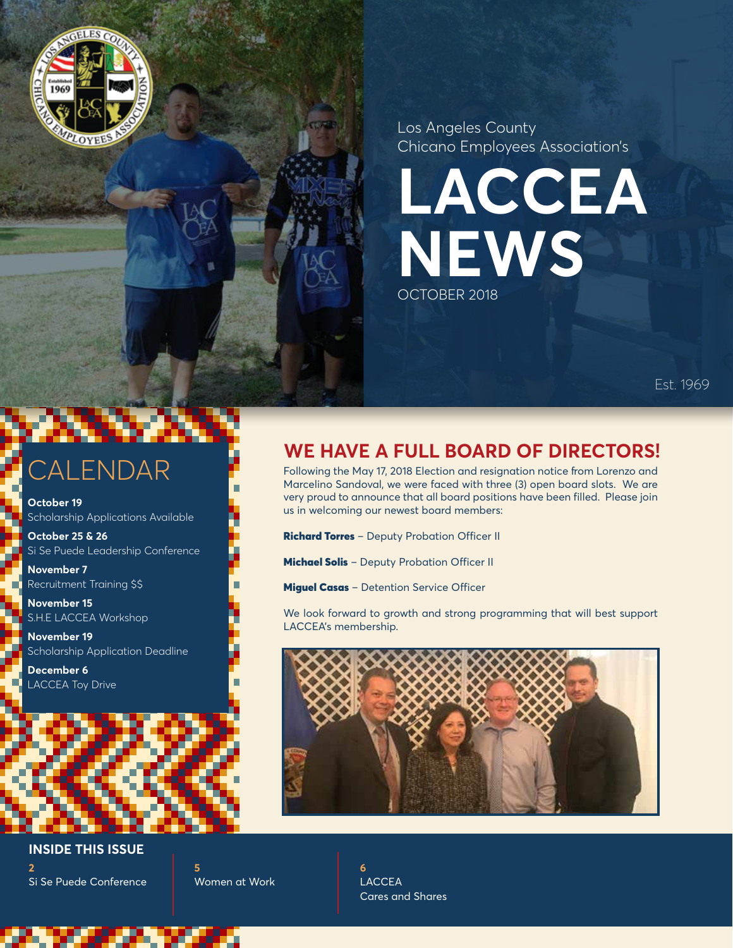

Los Angeles County Chicano Employees Association's

**LACCEA NEWS** OCTOBER 2018

Est. 1969

# **CALENDAR**

**October 19**  Scholarship Applications Available

**October 25 & 26**  Si Se Puede Leadership Conference

**November 7**  Recruitment Training \$\$

**November 15** S.H.E LACCEA Workshop

**November 19**  Scholarship Application Deadline

**December 6**  LACCEA Toy Drive

## **WE HAVE A FULL BOARD OF DIRECTORS!**

Following the May 17, 2018 Election and resignation notice from Lorenzo and Marcelino Sandoval, we were faced with three (3) open board slots. We are very proud to announce that all board positions have been filled. Please join us in welcoming our newest board members:

Richard Torres – Deputy Probation Officer II

**Michael Solis** - Deputy Probation Officer II

**Miguel Casas** - Detention Service Officer

We look forward to growth and strong programming that will best support LACCEA's membership.



**2** Si Se Puede Conference **INSIDE THIS ISSUE**

**5** Women at Work **6** LACCEA Cares and Shares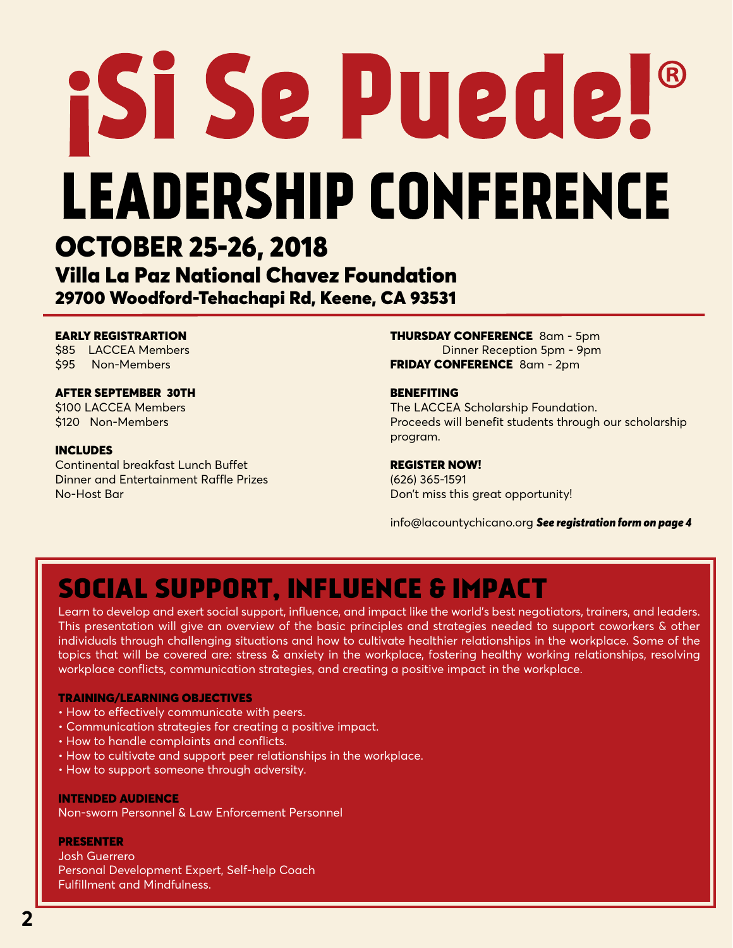# **IST Se Puede!® LEADERSHIP CONFERENCE** OCTOBER 25-26, 2018 Villa La Paz National Chavez Foundation 29700 Woodford-Tehachapi Rd, Keene, CA 93531

## EARLY REGISTRARTION

\$85 LACCEA Members \$95 Non-Members

## AFTER SEPTEMBER 30TH

\$100 LACCEA Members \$120 Non-Members

### INCLUDES

Continental breakfast Lunch Buffet Dinner and Entertainment Raffle Prizes No-Host Bar

THURSDAY CONFERENCE 8am - 5pm Dinner Reception 5pm - 9pm FRIDAY CONFERENCE 8am - 2pm

### BENEFITING

The LACCEA Scholarship Foundation. Proceeds will benefit students through our scholarship program.

### REGISTER NOW!

(626) 365-1591 Don't miss this great opportunity!

info@lacountychicano.org *See registration form on page 4*

## SOCIAL SUPPORT, INFLUENCE & IMPACT

Learn to develop and exert social support, influence, and impact like the world's best negotiators, trainers, and leaders. This presentation will give an overview of the basic principles and strategies needed to support coworkers & other individuals through challenging situations and how to cultivate healthier relationships in the workplace. Some of the topics that will be covered are: stress & anxiety in the workplace, fostering healthy working relationships, resolving workplace conflicts, communication strategies, and creating a positive impact in the workplace.

### TRAINING/LEARNING OBJECTIVES

- How to effectively communicate with peers.
- Communication strategies for creating a positive impact.
- How to handle complaints and conflicts.
- How to cultivate and support peer relationships in the workplace.
- How to support someone through adversity.

### INTENDED AUDIENCE

Non-sworn Personnel & Law Enforcement Personnel

### PRESENTER

Josh Guerrero Personal Development Expert, Self-help Coach Fulfillment and Mindfulness.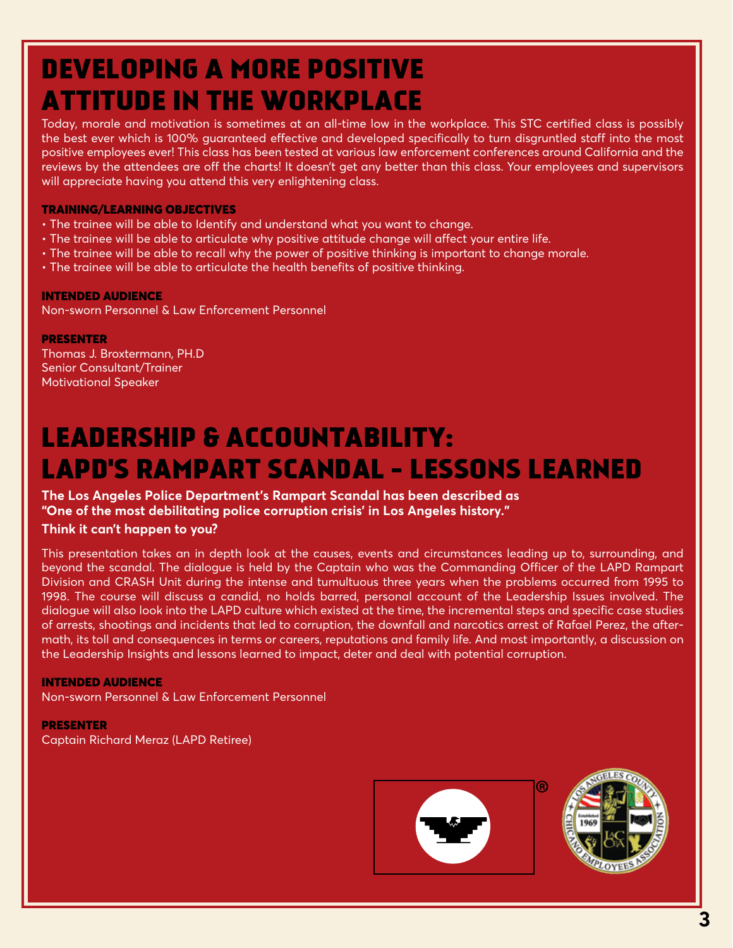## DEVELOPING A MORE POSITIVE ATTITUDE IN THE WORKPLACE

Today, morale and motivation is sometimes at an all-time low in the workplace. This STC certified class is possibly the best ever which is 100% guaranteed effective and developed specifically to turn disgruntled staff into the most positive employees ever! This class has been tested at various law enforcement conferences around California and the reviews by the attendees are off the charts! It doesn't get any better than this class. Your employees and supervisors will appreciate having you attend this very enlightening class.

## TRAINING/LEARNING OBJECTIVES

- The trainee will be able to Identify and understand what you want to change.
- The trainee will be able to articulate why positive attitude change will affect your entire life.
- The trainee will be able to recall why the power of positive thinking is important to change morale.
- The trainee will be able to articulate the health benefits of positive thinking.

## INTENDED AUDIENCE

Non-sworn Personnel & Law Enforcement Personnel

PRESENTER Thomas J. Broxtermann, PH.D Senior Consultant/Trainer Motivational Speaker

## LEADERSHIP & ACCOUNTABILITY: LAPD'S RAMPART SCANDAL - LESSONS LEARNED

## **The Los Angeles Police Department's Rampart Scandal has been described as "One of the most debilitating police corruption crisis' in Los Angeles history."**

## **Think it can't happen to you?**

This presentation takes an in depth look at the causes, events and circumstances leading up to, surrounding, and beyond the scandal. The dialogue is held by the Captain who was the Commanding Officer of the LAPD Rampart Division and CRASH Unit during the intense and tumultuous three years when the problems occurred from 1995 to 1998. The course will discuss a candid, no holds barred, personal account of the Leadership Issues involved. The dialogue will also look into the LAPD culture which existed at the time, the incremental steps and specific case studies of arrests, shootings and incidents that led to corruption, the downfall and narcotics arrest of Rafael Perez, the aftermath, its toll and consequences in terms or careers, reputations and family life. And most importantly, a discussion on the Leadership Insights and lessons learned to impact, deter and deal with potential corruption.

## INTENDED AUDIENCE

Non-sworn Personnel & Law Enforcement Personnel

## PRESENTER Captain Richard Meraz (LAPD Retiree)





®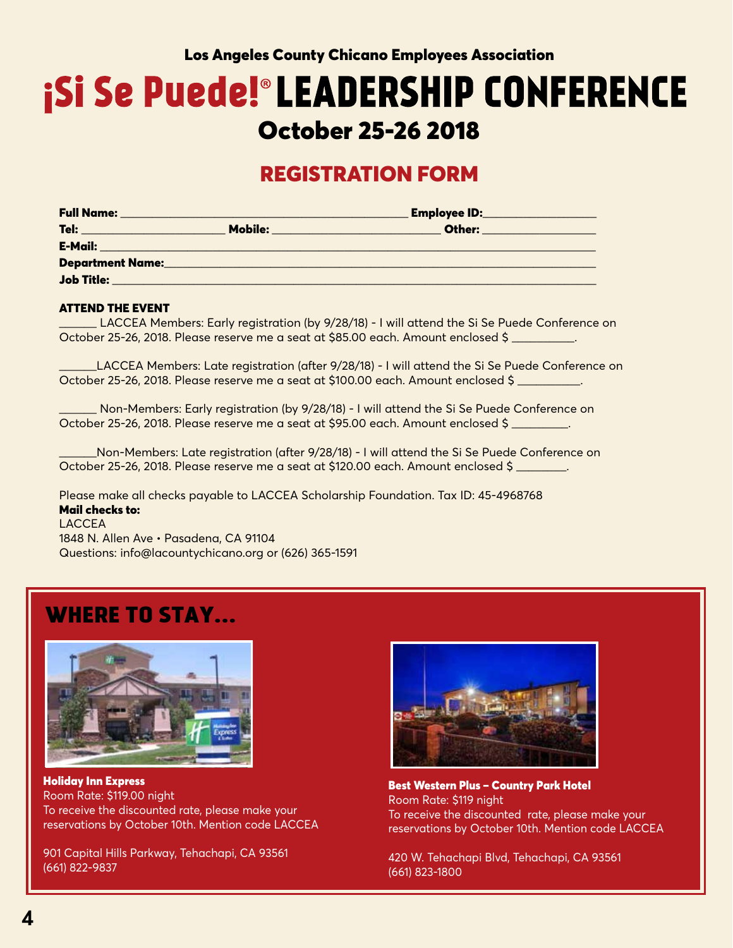## Los Angeles County Chicano Employees Association

## **¡Si Se Puede!®LEADERSHIP CONFERENCE** October 25-26 2018

## REGISTRATION FORM

| <b>Full Name:</b>       |                                                                                            | <b>Employee ID:</b> |  |
|-------------------------|--------------------------------------------------------------------------------------------|---------------------|--|
| Tel:                    | Mobile:<br>the contract of the contract of the contract of the contract of the contract of | Other:              |  |
| E-Mail:                 |                                                                                            |                     |  |
| <b>Department Name:</b> |                                                                                            |                     |  |
| Job Title:              |                                                                                            |                     |  |
|                         |                                                                                            |                     |  |

### ATTEND THE EVENT

\_\_\_\_\_\_ LACCEA Members: Early registration (by 9/28/18) - I will attend the Si Se Puede Conference on October 25-26, 2018. Please reserve me a seat at \$85.00 each. Amount enclosed \$

\_\_\_\_\_\_LACCEA Members: Late registration (after 9/28/18) - I will attend the Si Se Puede Conference on October 25-26, 2018. Please reserve me a seat at \$100.00 each. Amount enclosed \$ \_\_\_\_\_\_\_\_\_\_.

Non-Members: Early registration (by 9/28/18) - I will attend the Si Se Puede Conference on October 25-26, 2018. Please reserve me a seat at \$95.00 each. Amount enclosed \$ \_\_\_\_\_\_\_\_\_.

\_\_\_\_\_\_Non-Members: Late registration (after 9/28/18) - I will attend the Si Se Puede Conference on October 25-26, 2018. Please reserve me a seat at \$120.00 each. Amount enclosed \$

Please make all checks payable to LACCEA Scholarship Foundation. Tax ID: 45-4968768 Mail checks to: LACCEA

1848 N. Allen Ave • Pasadena, CA 91104 Questions: info@lacountychicano.org or (626) 365-1591

## WHERE TO STAY...



Holiday Inn Express Room Rate: \$119.00 night To receive the discounted rate, please make your reservations by October 10th. Mention code LACCEA

901 Capital Hills Parkway, Tehachapi, CA 93561 (661) 822-9837



Best Western Plus – Country Park Hotel Room Rate: \$119 night To receive the discounted rate, please make your reservations by October 10th. Mention code LACCEA

420 W. Tehachapi Blvd, Tehachapi, CA 93561 (661) 823-1800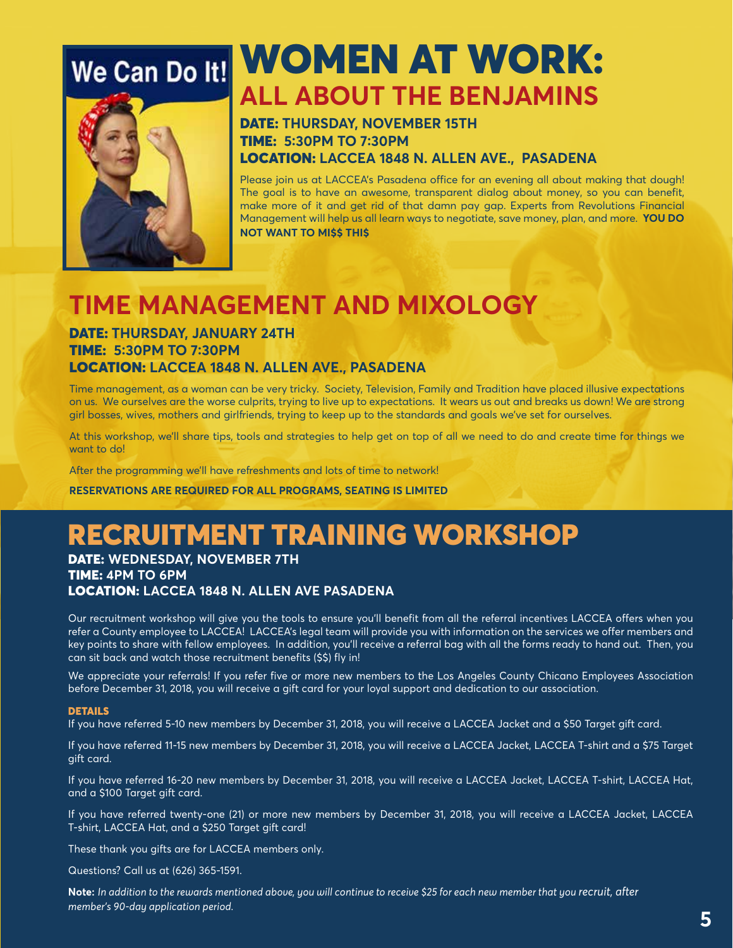

## We Can Do It! WOMEN AT WORK: **ALL ABOUT THE BENJAMINS**

## DATE: **THURSDAY, NOVEMBER 15TH**  TIME: **5:30PM TO 7:30PM** LOCATION: **LACCEA 1848 N. ALLEN AVE., PASADENA**

Please join us at LACCEA's Pasadena office for an evening all about making that dough! The goal is to have an awesome, transparent dialog about money, so you can benefit, make more of it and get rid of that damn pay gap. Experts from Revolutions Financial Management will help us all learn ways to negotiate, save money, plan, and more. **YOU DO NOT WANT TO MI\$\$ THI\$**

## **TIME MANAGEMENT AND MIXOLOGY**

## DATE: **THURSDAY, JANUARY 24TH**  TIME: **5:30PM TO 7:30PM** LOCATION: **LACCEA 1848 N. ALLEN AVE., PASADENA**

Time management, as a woman can be very tricky. Society, Television, Family and Tradition have placed illusive expectations on us. We ourselves are the worse culprits, trying to live up to expectations. It wears us out and breaks us down! We are strong girl bosses, wives, mothers and girlfriends, trying to keep up to the standards and goals we've set for ourselves.

At this workshop, we'll share tips, tools and strategies to help get on top of all we need to do and create time for things we want to do!

After the programming we'll have refreshments and lots of time to network!

**RESERVATIONS ARE REQUIRED FOR ALL PROGRAMS, SEATING IS LIMITED**

## RECRUITMENT TRAINING WORKSHOP

DATE: **WEDNESDAY, NOVEMBER 7TH** TIME: **4PM TO 6PM** LOCATION: **LACCEA 1848 N. ALLEN AVE PASADENA**

Our recruitment workshop will give you the tools to ensure you'll benefit from all the referral incentives LACCEA offers when you refer a County employee to LACCEA! LACCEA's legal team will provide you with information on the services we offer members and key points to share with fellow employees. In addition, you'll receive a referral bag with all the forms ready to hand out. Then, you can sit back and watch those recruitment benefits (\$\$) fly in!

We appreciate your referrals! If you refer five or more new members to the Los Angeles County Chicano Employees Association before December 31, 2018, you will receive a gift card for your loyal support and dedication to our association.

### **DETAILS**

If you have referred 5-10 new members by December 31, 2018, you will receive a LACCEA Jacket and a \$50 Target gift card.

If you have referred 11-15 new members by December 31, 2018, you will receive a LACCEA Jacket, LACCEA T-shirt and a \$75 Target gift card.

If you have referred 16-20 new members by December 31, 2018, you will receive a LACCEA Jacket, LACCEA T-shirt, LACCEA Hat, and a \$100 Target gift card.

If you have referred twenty-one (21) or more new members by December 31, 2018, you will receive a LACCEA Jacket, LACCEA T-shirt, LACCEA Hat, and a \$250 Target gift card!

These thank you gifts are for LACCEA members only.

Questions? Call us at (626) 365-1591.

**Note:** *In addition to the rewards mentioned above, you will continue to receive \$25 for each new member that you recruit, after member's 90-day application period.*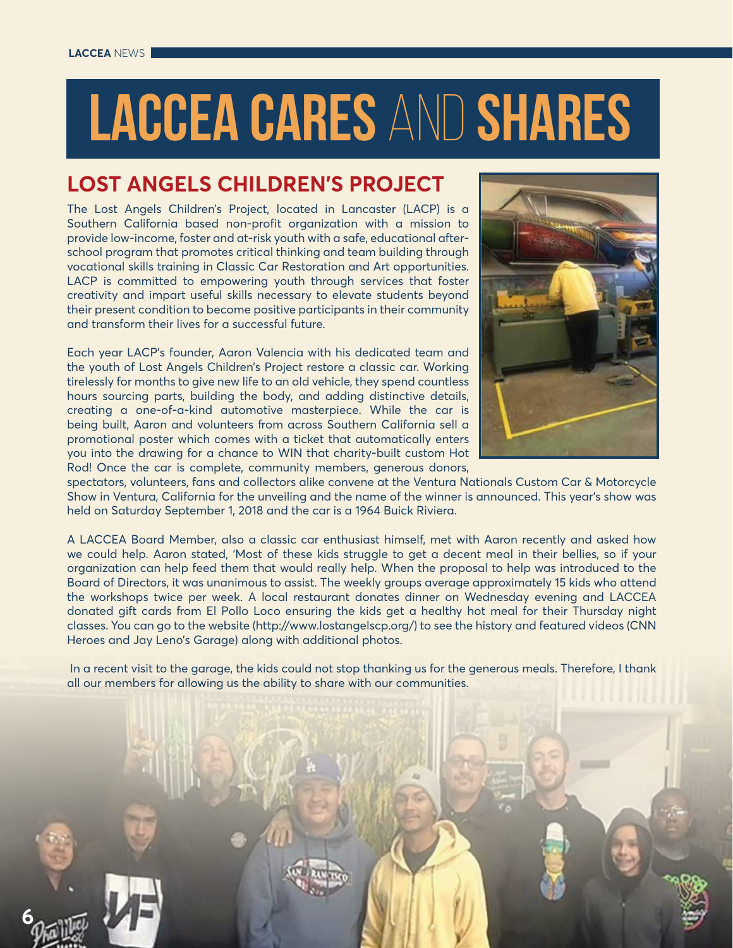# LACCEA CARES AND SHARES

## **LOST ANGELS CHILDREN'S PROJECT**

The Lost Angels Children's Project, located in Lancaster (LACP) is a Southern California based non-profit organization with a mission to provide low-income, foster and at-risk youth with a safe, educational afterschool program that promotes critical thinking and team building through vocational skills training in Classic Car Restoration and Art opportunities. LACP is committed to empowering youth through services that foster creativity and impart useful skills necessary to elevate students beyond their present condition to become positive participants in their community and transform their lives for a successful future.

Each year LACP's founder, Aaron Valencia with his dedicated team and the youth of Lost Angels Children's Project restore a classic car. Working tirelessly for months to give new life to an old vehicle, they spend countless hours sourcing parts, building the body, and adding distinctive details, creating a one-of-a-kind automotive masterpiece. While the car is being built, Aaron and volunteers from across Southern California sell a promotional poster which comes with a ticket that automatically enters you into the drawing for a chance to WIN that charity-built custom Hot Rod! Once the car is complete, community members, generous donors,



spectators, volunteers, fans and collectors alike convene at the Ventura Nationals Custom Car & Motorcycle Show in Ventura, California for the unveiling and the name of the winner is announced. This year's show was held on Saturday September 1, 2018 and the car is a 1964 Buick Riviera.

A LACCEA Board Member, also a classic car enthusiast himself, met with Aaron recently and asked how we could help. Aaron stated, 'Most of these kids struggle to get a decent meal in their bellies, so if your organization can help feed them that would really help. When the proposal to help was introduced to the Board of Directors, it was unanimous to assist. The weekly groups average approximately 15 kids who attend the workshops twice per week. A local restaurant donates dinner on Wednesday evening and LACCEA donated gift cards from El Pollo Loco ensuring the kids get a healthy hot meal for their Thursday night classes. You can go to the website (http://www.lostangelscp.org/) to see the history and featured videos (CNN Heroes and Jay Leno's Garage) along with additional photos.

 In a recent visit to the garage, the kids could not stop thanking us for the generous meals. Therefore, I thank all our members for allowing us the ability to share with our communities.



**6**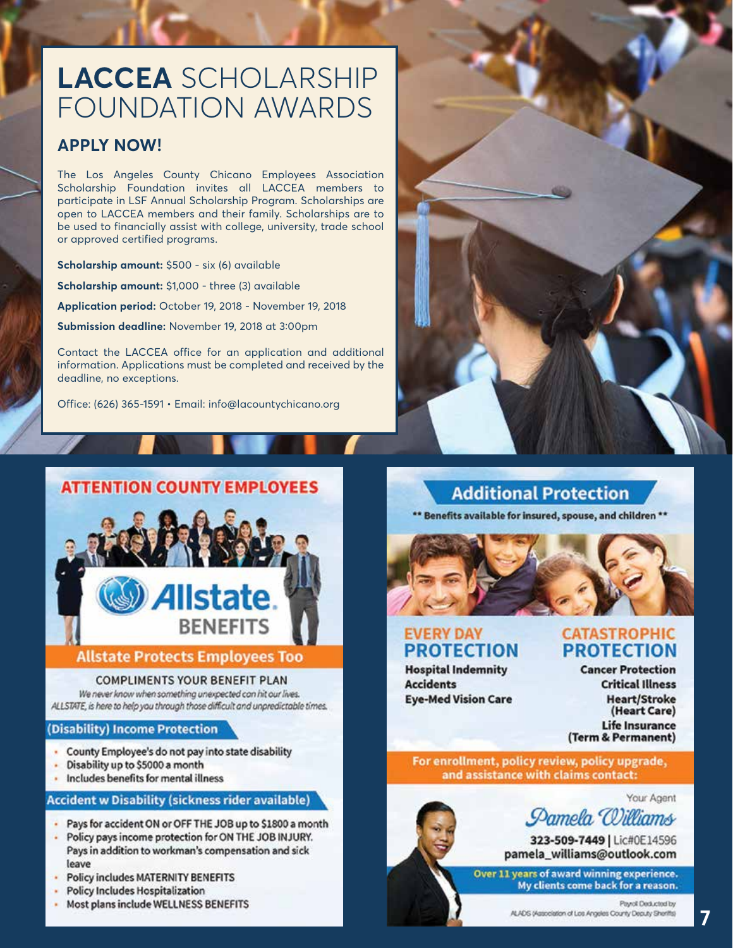## **LACCEA** SCHOLARSHIP FOUNDATION AWARDS

## **APPLY NOW!**

The Los Angeles County Chicano Employees Association Scholarship Foundation invites all LACCEA members to participate in LSF Annual Scholarship Program. Scholarships are open to LACCEA members and their family. Scholarships are to be used to financially assist with college, university, trade school or approved certified programs.

**Scholarship amount:** \$500 - six (6) available **Scholarship amount:** \$1,000 - three (3) available **Application period:** October 19, 2018 - November 19, 2018 **Submission deadline:** November 19, 2018 at 3:00pm

Contact the LACCEA office for an application and additional information. Applications must be completed and received by the deadline, no exceptions.

Office: (626) 365-1591 • Email: info@lacountychicano.org

# **Allstate BENEFITS**

**ATTENTION COUNTY EMPLOYEES** 

## **Allstate Protects Employees Too**

### **COMPLIMENTS YOUR BENEFIT PLAN**

We never know when something unexpected can hit our lives. ALLSTATE, is here to help you through those difficult and unpredictable times.

## (Disability) Income Protection

- County Employee's do not pay into state disability
- Disability up to \$5000 a month
- Includes benefits for mental illness

## **Accident w Disability (sickness rider available)**

- Pays for accident ON or OFF THE JOB up to \$1800 a month
- Policy pays income protection for ON THE JOB INJURY. Pays in addition to workman's compensation and sick leave
- **Policy includes MATERNITY BENEFITS**  $\mathbf{a}^{\prime}$
- **Policy Includes Hospitalization**
- Most plans include WELLNESS BENEFITS



## **Additional Protection**

\*\* Benefits available for insured, spouse, and children \*\*



## **EVERY DAY PROTECTION**

**Hospital Indemnity Accidents Eye-Med Vision Care**  **CATASTROPHIC PROTECTION** 

**Cancer Protection Critical Illness Heart/Stroke** (Heart Care) **Life Insurance** (Term & Permanent)

For enrollment, policy review, policy upgrade, and assistance with claims contact:

Your Agent



323-509-7449 | Lic#0E14596 pamela\_williams@outlook.com

Over 11 years of award winning experience. My clients come back for a reason.